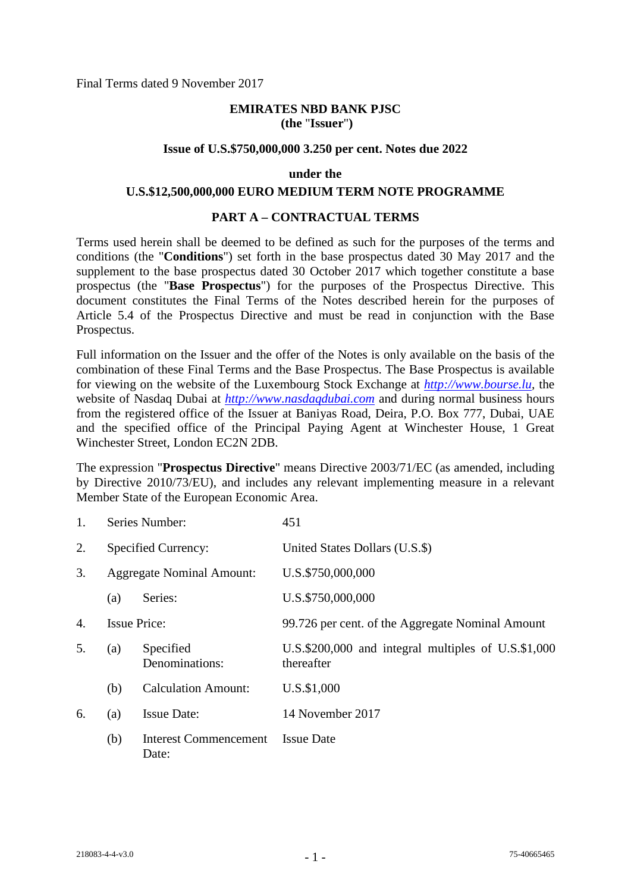Final Terms dated 9 November 2017

## **EMIRATES NBD BANK PJSC (the** "**Issuer**"**)**

#### **Issue of U.S.\$750,000,000 3.250 per cent. Notes due 2022**

#### **under the**

#### **U.S.\$12,500,000,000 EURO MEDIUM TERM NOTE PROGRAMME**

#### **PART A – CONTRACTUAL TERMS**

Terms used herein shall be deemed to be defined as such for the purposes of the terms and conditions (the "**Conditions**") set forth in the base prospectus dated 30 May 2017 and the supplement to the base prospectus dated 30 October 2017 which together constitute a base prospectus (the "**Base Prospectus**") for the purposes of the Prospectus Directive. This document constitutes the Final Terms of the Notes described herein for the purposes of Article 5.4 of the Prospectus Directive and must be read in conjunction with the Base Prospectus.

Full information on the Issuer and the offer of the Notes is only available on the basis of the combination of these Final Terms and the Base Prospectus. The Base Prospectus is available for viewing on the website of the Luxembourg Stock Exchange at *[http://www.bourse.lu,](http://www.bourse.lu/)* the website of Nasdaq Dubai at *[http://www.nasdaqdubai.com](http://www.nasdaqdubai.com/)* and during normal business hours from the registered office of the Issuer at Baniyas Road, Deira, P.O. Box 777, Dubai, UAE and the specified office of the Principal Paying Agent at Winchester House, 1 Great Winchester Street, London EC2N 2DB.

The expression "**Prospectus Directive**" means Directive 2003/71/EC (as amended, including by Directive 2010/73/EU), and includes any relevant implementing measure in a relevant Member State of the European Economic Area.

| 1. |     | Series Number:                        | 451                                                                   |
|----|-----|---------------------------------------|-----------------------------------------------------------------------|
| 2. |     | Specified Currency:                   | United States Dollars (U.S.\$)                                        |
| 3. |     | <b>Aggregate Nominal Amount:</b>      | U.S.\$750,000,000                                                     |
|    | (a) | Series:                               | U.S.\$750,000,000                                                     |
| 4. |     | <b>Issue Price:</b>                   | 99.726 per cent. of the Aggregate Nominal Amount                      |
| 5. | (a) | Specified<br>Denominations:           | U.S. $$200,000$ and integral multiples of U.S. $$1,000$<br>thereafter |
|    | (b) | <b>Calculation Amount:</b>            | U.S.\$1,000                                                           |
| 6. | (a) | <b>Issue Date:</b>                    | 14 November 2017                                                      |
|    | (b) | <b>Interest Commencement</b><br>Date: | <b>Issue Date</b>                                                     |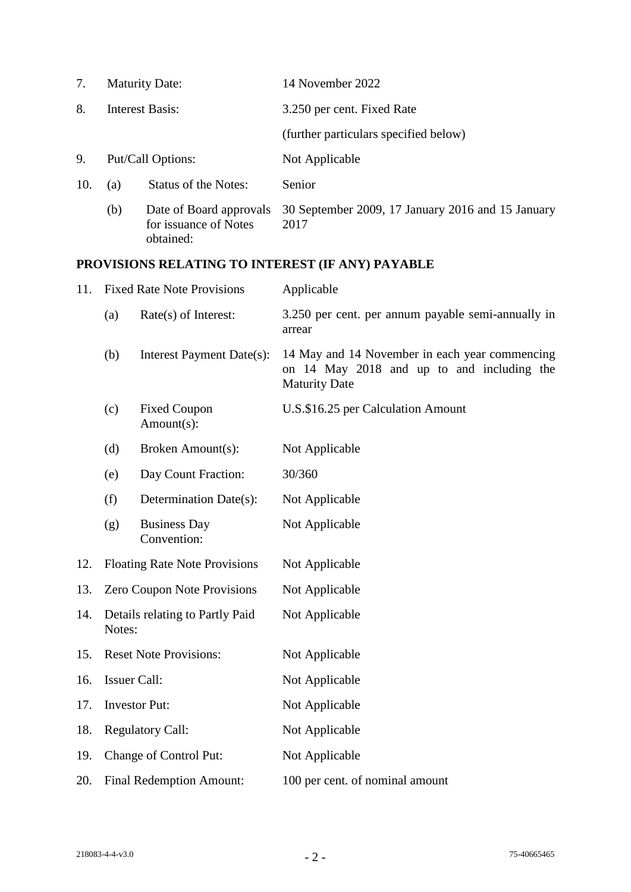| 7.  | <b>Maturity Date:</b> |                                                               | 14 November 2022                                          |
|-----|-----------------------|---------------------------------------------------------------|-----------------------------------------------------------|
| 8.  |                       | <b>Interest Basis:</b>                                        | 3.250 per cent. Fixed Rate                                |
|     |                       |                                                               | (further particulars specified below)                     |
| 9.  | Put/Call Options:     |                                                               | Not Applicable                                            |
| 10. | (a)                   | <b>Status of the Notes:</b>                                   | Senior                                                    |
|     | (b)                   | Date of Board approvals<br>for issuance of Notes<br>obtained: | 30 September 2009, 17 January 2016 and 15 January<br>2017 |

# **PROVISIONS RELATING TO INTEREST (IF ANY) PAYABLE**

| 11. | <b>Fixed Rate Note Provisions</b>         |                                    | Applicable                                                                                                           |
|-----|-------------------------------------------|------------------------------------|----------------------------------------------------------------------------------------------------------------------|
|     | (a)                                       | Rate(s) of Interest:               | 3.250 per cent. per annum payable semi-annually in<br>arrear                                                         |
|     | (b)                                       | Interest Payment Date(s):          | 14 May and 14 November in each year commencing<br>on 14 May 2018 and up to and including the<br><b>Maturity Date</b> |
|     | (c)                                       | <b>Fixed Coupon</b><br>Amount(s):  | U.S.\$16.25 per Calculation Amount                                                                                   |
|     | (d)                                       | Broken Amount(s):                  | Not Applicable                                                                                                       |
|     | (e)                                       | Day Count Fraction:                | 30/360                                                                                                               |
|     | (f)                                       | Determination Date(s):             | Not Applicable                                                                                                       |
|     | (g)                                       | <b>Business Day</b><br>Convention: | Not Applicable                                                                                                       |
| 12. | <b>Floating Rate Note Provisions</b>      |                                    | Not Applicable                                                                                                       |
| 13. | Zero Coupon Note Provisions               |                                    | Not Applicable                                                                                                       |
| 14. | Details relating to Partly Paid<br>Notes: |                                    | Not Applicable                                                                                                       |
| 15. |                                           | <b>Reset Note Provisions:</b>      | Not Applicable                                                                                                       |
| 16. |                                           | <b>Issuer Call:</b>                | Not Applicable                                                                                                       |
| 17. | <b>Investor Put:</b>                      |                                    | Not Applicable                                                                                                       |
| 18. | <b>Regulatory Call:</b>                   |                                    | Not Applicable                                                                                                       |
| 19. | Change of Control Put:                    |                                    | Not Applicable                                                                                                       |
| 20. | <b>Final Redemption Amount:</b>           |                                    | 100 per cent. of nominal amount                                                                                      |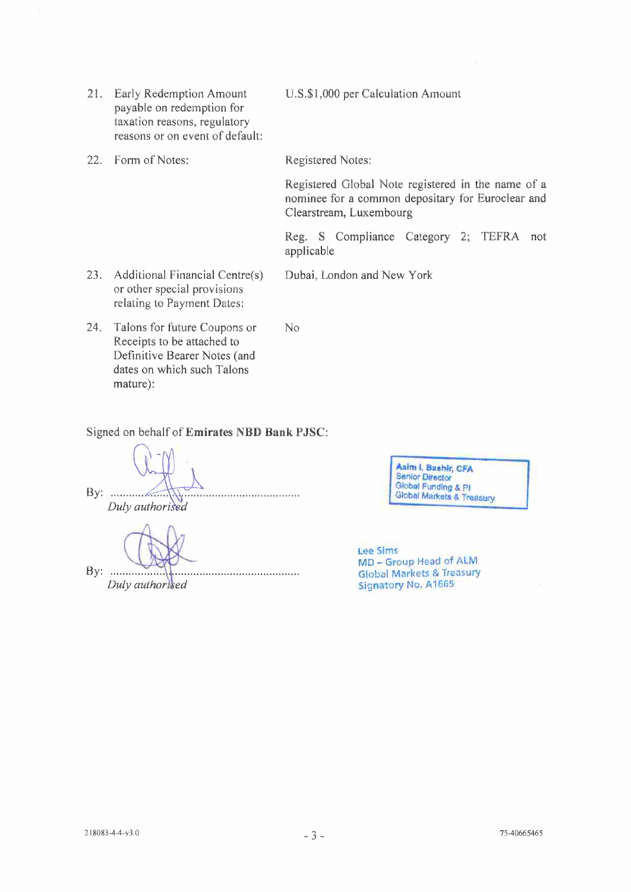- Early Redemption Amount  $21.$ payable on redemption for taxation reasons, regulatory reasons or on event of default:
- 22. Form of Notes:

U.S.\$1,000 per Calculation Amount

Registered Notes:

Registered Global Note registered in the name of a nominee for a common depositary for Euroclear and Clearstream, Luxembourg

Reg. S Compliance Category 2; TEFRA not applicable

23. Additional Financial Centre(s) Dubai, London and New York or other special provisions relating to Payment Dates:

N<sub>o</sub>

24. Talons for future Coupons or Receipts to be attached to Definitive Bearer Notes (and dates on which such Talons mature):

Signed on behalf of Emirates NBD Bank PJSC:

By:  $\ldots$ Duly authorised

 $By: \ldots$ Duly authorised

Asim I. Bashir, CFA Asim I, pasitu, Checker<br>Senior Director<br>Global Funding & PI<br>Global Markets & Treasury

**Lee Sims** MD - Group Head of ALM **Global Markets & Treasury Signatory No. A1665**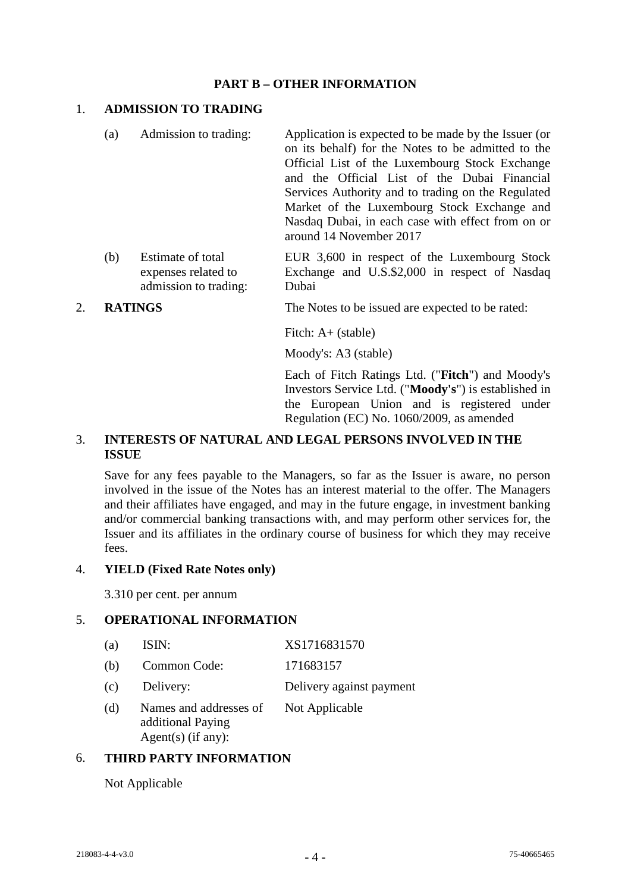## **PART B – OTHER INFORMATION**

## 1. **ADMISSION TO TRADING**

- (a) Admission to trading: Application is expected to be made by the Issuer (or on its behalf) for the Notes to be admitted to the Official List of the Luxembourg Stock Exchange and the Official List of the Dubai Financial Services Authority and to trading on the Regulated Market of the Luxembourg Stock Exchange and Nasdaq Dubai, in each case with effect from on or around 14 November 2017
- (b) Estimate of total expenses related to admission to trading: EUR 3,600 in respect of the Luxembourg Stock Exchange and U.S.\$2,000 in respect of Nasdaq Dubai
- 2. **RATINGS** The Notes to be issued are expected to be rated:

Fitch: A+ (stable)

Moody's: A3 (stable)

Each of Fitch Ratings Ltd. ("**Fitch**") and Moody's Investors Service Ltd. ("**Moody's**") is established in the European Union and is registered under Regulation (EC) No. 1060/2009, as amended

## 3. **INTERESTS OF NATURAL AND LEGAL PERSONS INVOLVED IN THE ISSUE**

Save for any fees payable to the Managers, so far as the Issuer is aware, no person involved in the issue of the Notes has an interest material to the offer. The Managers and their affiliates have engaged, and may in the future engage, in investment banking and/or commercial banking transactions with, and may perform other services for, the Issuer and its affiliates in the ordinary course of business for which they may receive fees.

#### 4. **YIELD (Fixed Rate Notes only)**

3.310 per cent. per annum

## 5. **OPERATIONAL INFORMATION**

- (a) ISIN: XS1716831570
- (b) Common Code: 171683157
- (c) Delivery: Delivery against payment
- (d) Names and addresses of additional Paying Agent(s) (if any): Not Applicable

## 6. **THIRD PARTY INFORMATION**

Not Applicable